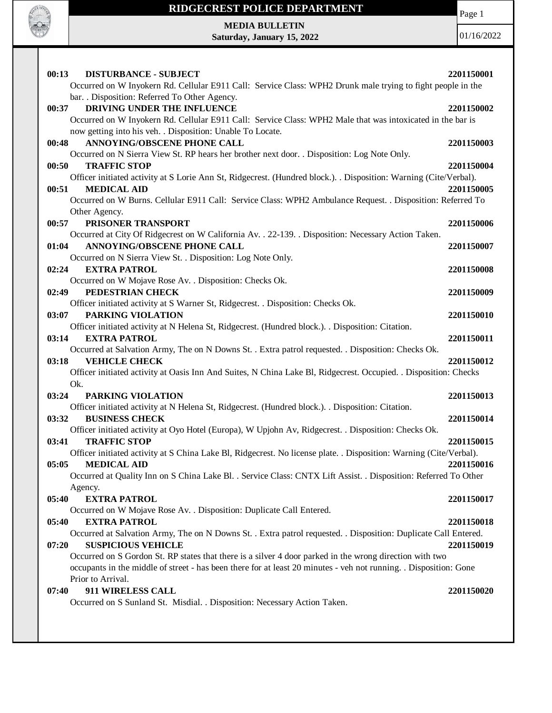

Page 1

**MEDIA BULLETIN Saturday, January 15, 2022**

| 00:13<br><b>DISTURBANCE - SUBJECT</b><br>Occurred on W Inyokern Rd. Cellular E911 Call: Service Class: WPH2 Drunk male trying to fight people in the | 2201150001 |
|------------------------------------------------------------------------------------------------------------------------------------------------------|------------|
| bar. . Disposition: Referred To Other Agency.                                                                                                        |            |
| DRIVING UNDER THE INFLUENCE<br>00:37                                                                                                                 | 2201150002 |
| Occurred on W Inyokern Rd. Cellular E911 Call: Service Class: WPH2 Male that was intoxicated in the bar is                                           |            |
| now getting into his veh. . Disposition: Unable To Locate.                                                                                           |            |
| <b>ANNOYING/OBSCENE PHONE CALL</b><br>00:48                                                                                                          | 2201150003 |
| Occurred on N Sierra View St. RP hears her brother next door. . Disposition: Log Note Only.                                                          |            |
| 00:50<br><b>TRAFFIC STOP</b><br>Officer initiated activity at S Lorie Ann St, Ridgecrest. (Hundred block.). . Disposition: Warning (Cite/Verbal).    | 2201150004 |
| <b>MEDICAL AID</b><br>00:51                                                                                                                          | 2201150005 |
| Occurred on W Burns. Cellular E911 Call: Service Class: WPH2 Ambulance Request. . Disposition: Referred To                                           |            |
| Other Agency.                                                                                                                                        |            |
| PRISONER TRANSPORT<br>00:57                                                                                                                          | 2201150006 |
| Occurred at City Of Ridgecrest on W California Av. . 22-139. . Disposition: Necessary Action Taken.                                                  |            |
| <b>ANNOYING/OBSCENE PHONE CALL</b><br>01:04                                                                                                          | 2201150007 |
| Occurred on N Sierra View St. . Disposition: Log Note Only.                                                                                          |            |
| 02:24<br><b>EXTRA PATROL</b>                                                                                                                         | 2201150008 |
| Occurred on W Mojave Rose Av. . Disposition: Checks Ok.                                                                                              |            |
| PEDESTRIAN CHECK<br>02:49                                                                                                                            | 2201150009 |
| Officer initiated activity at S Warner St, Ridgecrest. . Disposition: Checks Ok.                                                                     |            |
| PARKING VIOLATION<br>03:07                                                                                                                           | 2201150010 |
| Officer initiated activity at N Helena St, Ridgecrest. (Hundred block.). . Disposition: Citation.<br><b>EXTRA PATROL</b><br>03:14                    | 2201150011 |
| Occurred at Salvation Army, The on N Downs St. . Extra patrol requested. . Disposition: Checks Ok.                                                   |            |
| <b>VEHICLE CHECK</b><br>03:18                                                                                                                        | 2201150012 |
| Officer initiated activity at Oasis Inn And Suites, N China Lake Bl, Ridgecrest. Occupied. . Disposition: Checks                                     |            |
| Ok.                                                                                                                                                  |            |
| 03:24<br>PARKING VIOLATION                                                                                                                           | 2201150013 |
| Officer initiated activity at N Helena St, Ridgecrest. (Hundred block.). Disposition: Citation.                                                      |            |
| 03:32<br><b>BUSINESS CHECK</b>                                                                                                                       | 2201150014 |
| Officer initiated activity at Oyo Hotel (Europa), W Upjohn Av, Ridgecrest. . Disposition: Checks Ok.                                                 |            |
| <b>TRAFFIC STOP</b><br>03:41                                                                                                                         | 2201150015 |
| Officer initiated activity at S China Lake Bl, Ridgecrest. No license plate. . Disposition: Warning (Cite/Verbal).                                   |            |
| 05:05<br><b>MEDICAL AID</b>                                                                                                                          | 2201150016 |
| Occurred at Quality Inn on S China Lake Bl. . Service Class: CNTX Lift Assist. . Disposition: Referred To Other                                      |            |
| Agency.<br>05:40<br><b>EXTRA PATROL</b>                                                                                                              |            |
| Occurred on W Mojave Rose Av. . Disposition: Duplicate Call Entered.                                                                                 | 2201150017 |
| 05:40<br><b>EXTRA PATROL</b>                                                                                                                         | 2201150018 |
| Occurred at Salvation Army, The on N Downs St. . Extra patrol requested. . Disposition: Duplicate Call Entered.                                      |            |
| <b>SUSPICIOUS VEHICLE</b><br>07:20                                                                                                                   | 2201150019 |
| Occurred on S Gordon St. RP states that there is a silver 4 door parked in the wrong direction with two                                              |            |
| occupants in the middle of street - has been there for at least 20 minutes - veh not running. . Disposition: Gone                                    |            |
| Prior to Arrival.                                                                                                                                    |            |
| 911 WIRELESS CALL<br>07:40                                                                                                                           | 2201150020 |
| Occurred on S Sunland St. Misdial. . Disposition: Necessary Action Taken.                                                                            |            |
|                                                                                                                                                      |            |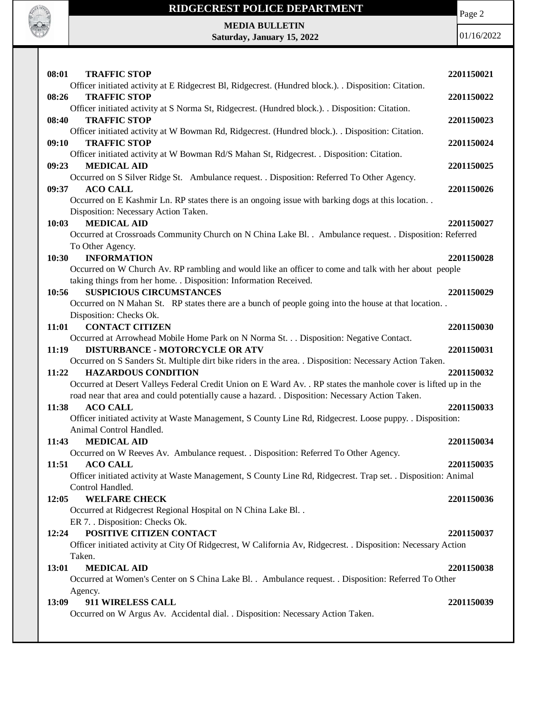

Page 2

**MEDIA BULLETIN Saturday, January 15, 2022**

| Officer initiated activity at E Ridgecrest Bl, Ridgecrest. (Hundred block.). . Disposition: Citation.<br><b>TRAFFIC STOP</b><br>08:26<br>2201150022<br>Officer initiated activity at S Norma St, Ridgecrest. (Hundred block.). . Disposition: Citation. |  |
|---------------------------------------------------------------------------------------------------------------------------------------------------------------------------------------------------------------------------------------------------------|--|
|                                                                                                                                                                                                                                                         |  |
|                                                                                                                                                                                                                                                         |  |
| 08:40<br><b>TRAFFIC STOP</b><br>2201150023                                                                                                                                                                                                              |  |
| Officer initiated activity at W Bowman Rd, Ridgecrest. (Hundred block.). . Disposition: Citation.                                                                                                                                                       |  |
| <b>TRAFFIC STOP</b><br>09:10<br>2201150024                                                                                                                                                                                                              |  |
| Officer initiated activity at W Bowman Rd/S Mahan St, Ridgecrest. . Disposition: Citation.                                                                                                                                                              |  |
| <b>MEDICAL AID</b><br>09:23<br>2201150025<br>Occurred on S Silver Ridge St. Ambulance request. . Disposition: Referred To Other Agency.                                                                                                                 |  |
| 09:37<br><b>ACO CALL</b><br>2201150026                                                                                                                                                                                                                  |  |
| Occurred on E Kashmir Ln. RP states there is an ongoing issue with barking dogs at this location                                                                                                                                                        |  |
| Disposition: Necessary Action Taken.                                                                                                                                                                                                                    |  |
| <b>MEDICAL AID</b><br>10:03<br>2201150027                                                                                                                                                                                                               |  |
| Occurred at Crossroads Community Church on N China Lake Bl. . Ambulance request. . Disposition: Referred                                                                                                                                                |  |
| To Other Agency.                                                                                                                                                                                                                                        |  |
| 10:30<br><b>INFORMATION</b><br>2201150028                                                                                                                                                                                                               |  |
| Occurred on W Church Av. RP rambling and would like an officer to come and talk with her about people                                                                                                                                                   |  |
| taking things from her home. . Disposition: Information Received.                                                                                                                                                                                       |  |
| 10:56<br><b>SUSPICIOUS CIRCUMSTANCES</b><br>2201150029                                                                                                                                                                                                  |  |
| Occurred on N Mahan St. RP states there are a bunch of people going into the house at that location                                                                                                                                                     |  |
| Disposition: Checks Ok.<br><b>CONTACT CITIZEN</b>                                                                                                                                                                                                       |  |
| 11:01<br>2201150030<br>Occurred at Arrowhead Mobile Home Park on N Norma St. Disposition: Negative Contact.                                                                                                                                             |  |
| <b>DISTURBANCE - MOTORCYCLE OR ATV</b><br>11:19<br>2201150031                                                                                                                                                                                           |  |
| Occurred on S Sanders St. Multiple dirt bike riders in the area. . Disposition: Necessary Action Taken.                                                                                                                                                 |  |
| <b>HAZARDOUS CONDITION</b><br>2201150032<br>11:22                                                                                                                                                                                                       |  |
| Occurred at Desert Valleys Federal Credit Union on E Ward Av. . RP states the manhole cover is lifted up in the                                                                                                                                         |  |
| road near that area and could potentially cause a hazard. . Disposition: Necessary Action Taken.                                                                                                                                                        |  |
| 11:38<br><b>ACO CALL</b><br>2201150033                                                                                                                                                                                                                  |  |
| Officer initiated activity at Waste Management, S County Line Rd, Ridgecrest. Loose puppy. . Disposition:                                                                                                                                               |  |
| Animal Control Handled.                                                                                                                                                                                                                                 |  |
| 2201150034<br>11:43<br><b>MEDICAL AID</b>                                                                                                                                                                                                               |  |
| Occurred on W Reeves Av. Ambulance request. . Disposition: Referred To Other Agency.                                                                                                                                                                    |  |
| 2201150035<br>11:51<br>ACO CALL                                                                                                                                                                                                                         |  |
| Officer initiated activity at Waste Management, S County Line Rd, Ridgecrest. Trap set. . Disposition: Animal                                                                                                                                           |  |
| Control Handled.<br><b>WELFARE CHECK</b><br>12:05<br>2201150036                                                                                                                                                                                         |  |
| Occurred at Ridgecrest Regional Hospital on N China Lake Bl. .                                                                                                                                                                                          |  |
| ER 7. . Disposition: Checks Ok.                                                                                                                                                                                                                         |  |
| POSITIVE CITIZEN CONTACT<br>12:24<br>2201150037                                                                                                                                                                                                         |  |
| Officer initiated activity at City Of Ridgecrest, W California Av, Ridgecrest. . Disposition: Necessary Action                                                                                                                                          |  |
| Taken.                                                                                                                                                                                                                                                  |  |
| <b>MEDICAL AID</b><br>13:01<br>2201150038                                                                                                                                                                                                               |  |
| Occurred at Women's Center on S China Lake Bl. . Ambulance request. . Disposition: Referred To Other                                                                                                                                                    |  |
| Agency.                                                                                                                                                                                                                                                 |  |
| 911 WIRELESS CALL<br>13:09<br>2201150039                                                                                                                                                                                                                |  |
| Occurred on W Argus Av. Accidental dial. . Disposition: Necessary Action Taken.                                                                                                                                                                         |  |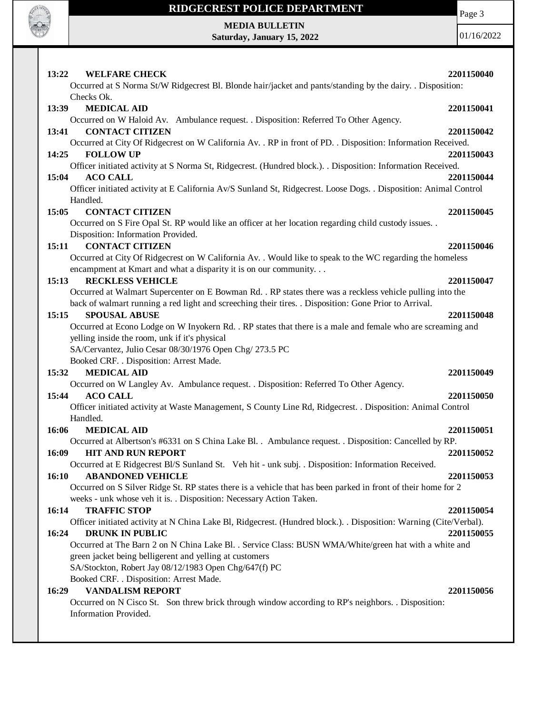

Page 3

**MEDIA BULLETIN Saturday, January 15, 2022**

| 13:22<br><b>WELFARE CHECK</b><br>Occurred at S Norma St/W Ridgecrest Bl. Blonde hair/jacket and pants/standing by the dairy. . Disposition:<br>Checks Ok.                            | 2201150040 |
|--------------------------------------------------------------------------------------------------------------------------------------------------------------------------------------|------------|
| <b>MEDICAL AID</b><br>13:39<br>Occurred on W Haloid Av. Ambulance request. . Disposition: Referred To Other Agency.                                                                  | 2201150041 |
| <b>CONTACT CITIZEN</b><br>13:41                                                                                                                                                      | 2201150042 |
| Occurred at City Of Ridgecrest on W California Av. . RP in front of PD. . Disposition: Information Received.<br>14:25<br><b>FOLLOW UP</b>                                            | 2201150043 |
| Officer initiated activity at S Norma St, Ridgecrest. (Hundred block.). . Disposition: Information Received.                                                                         |            |
| 15:04<br><b>ACO CALL</b>                                                                                                                                                             | 2201150044 |
| Officer initiated activity at E California Av/S Sunland St, Ridgecrest. Loose Dogs. . Disposition: Animal Control                                                                    |            |
| Handled.                                                                                                                                                                             |            |
| 15:05<br><b>CONTACT CITIZEN</b>                                                                                                                                                      | 2201150045 |
| Occurred on S Fire Opal St. RP would like an officer at her location regarding child custody issues. .                                                                               |            |
| Disposition: Information Provided.                                                                                                                                                   |            |
| <b>CONTACT CITIZEN</b><br>15:11                                                                                                                                                      | 2201150046 |
| Occurred at City Of Ridgecrest on W California Av. . Would like to speak to the WC regarding the homeless                                                                            |            |
| encampment at Kmart and what a disparity it is on our community.                                                                                                                     |            |
| 15:13<br><b>RECKLESS VEHICLE</b>                                                                                                                                                     | 2201150047 |
| Occurred at Walmart Supercenter on E Bowman Rd. . RP states there was a reckless vehicle pulling into the                                                                            |            |
| back of walmart running a red light and screeching their tires. . Disposition: Gone Prior to Arrival.<br><b>SPOUSAL ABUSE</b><br>15:15                                               | 2201150048 |
| Occurred at Econo Lodge on W Inyokern Rd. . RP states that there is a male and female who are screaming and                                                                          |            |
| yelling inside the room, unk if it's physical                                                                                                                                        |            |
| SA/Cervantez, Julio Cesar 08/30/1976 Open Chg/ 273.5 PC                                                                                                                              |            |
| Booked CRF. . Disposition: Arrest Made.                                                                                                                                              |            |
| 15:32<br><b>MEDICAL AID</b>                                                                                                                                                          | 2201150049 |
| Occurred on W Langley Av. Ambulance request. . Disposition: Referred To Other Agency.                                                                                                |            |
| 15:44<br><b>ACO CALL</b>                                                                                                                                                             | 2201150050 |
| Officer initiated activity at Waste Management, S County Line Rd, Ridgecrest. . Disposition: Animal Control                                                                          |            |
| Handled.                                                                                                                                                                             |            |
| <b>MEDICAL AID</b><br>16:06                                                                                                                                                          | 2201150051 |
| Occurred at Albertson's #6331 on S China Lake Bl. . Ambulance request. . Disposition: Cancelled by RP.                                                                               |            |
| 16:09<br><b>HIT AND RUN REPORT</b>                                                                                                                                                   | 2201150052 |
| Occurred at E Ridgecrest Bl/S Sunland St. Veh hit - unk subj. . Disposition: Information Received.                                                                                   |            |
| 16:10<br><b>ABANDONED VEHICLE</b>                                                                                                                                                    | 2201150053 |
| Occurred on S Silver Ridge St. RP states there is a vehicle that has been parked in front of their home for 2<br>weeks - unk whose veh it is. . Disposition: Necessary Action Taken. |            |
| <b>TRAFFIC STOP</b><br>16:14                                                                                                                                                         | 2201150054 |
| Officer initiated activity at N China Lake Bl, Ridgecrest. (Hundred block.). . Disposition: Warning (Cite/Verbal).                                                                   |            |
| 16:24<br><b>DRUNK IN PUBLIC</b>                                                                                                                                                      | 2201150055 |
| Occurred at The Barn 2 on N China Lake Bl. . Service Class: BUSN WMA/White/green hat with a white and                                                                                |            |
| green jacket being belligerent and yelling at customers                                                                                                                              |            |
| SA/Stockton, Robert Jay 08/12/1983 Open Chg/647(f) PC                                                                                                                                |            |
| Booked CRF. . Disposition: Arrest Made.                                                                                                                                              |            |
| <b>VANDALISM REPORT</b><br>16:29                                                                                                                                                     | 2201150056 |
| Occurred on N Cisco St. Son threw brick through window according to RP's neighbors. Disposition:                                                                                     |            |
| Information Provided.                                                                                                                                                                |            |
|                                                                                                                                                                                      |            |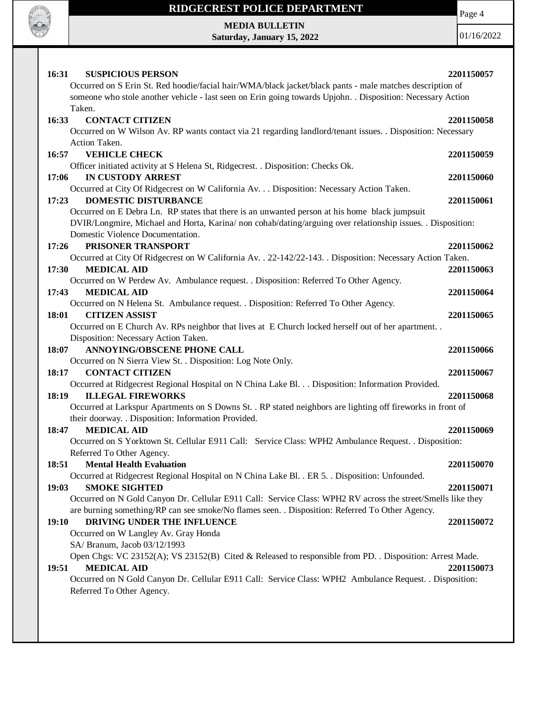

Page 4

**MEDIA BULLETIN Saturday, January 15, 2022**

| <b>SUSPICIOUS PERSON</b><br>16:31                                                                                      | 2201150057 |
|------------------------------------------------------------------------------------------------------------------------|------------|
| Occurred on S Erin St. Red hoodie/facial hair/WMA/black jacket/black pants - male matches description of               |            |
| someone who stole another vehicle - last seen on Erin going towards Upjohn. . Disposition: Necessary Action            |            |
| Taken.                                                                                                                 |            |
| 16:33<br><b>CONTACT CITIZEN</b>                                                                                        | 2201150058 |
| Occurred on W Wilson Av. RP wants contact via 21 regarding landlord/tenant issues. . Disposition: Necessary            |            |
| Action Taken.                                                                                                          |            |
| <b>VEHICLE CHECK</b><br>16:57                                                                                          | 2201150059 |
| Officer initiated activity at S Helena St, Ridgecrest. . Disposition: Checks Ok.                                       |            |
| <b>IN CUSTODY ARREST</b><br>17:06                                                                                      | 2201150060 |
| Occurred at City Of Ridgecrest on W California Av. Disposition: Necessary Action Taken.<br><b>DOMESTIC DISTURBANCE</b> |            |
| 17:23<br>Occurred on E Debra Ln. RP states that there is an unwanted person at his home black jumpsuit                 | 2201150061 |
| DVIR/Longmire, Michael and Horta, Karina/ non cohab/dating/arguing over relationship issues. . Disposition:            |            |
| Domestic Violence Documentation.                                                                                       |            |
| PRISONER TRANSPORT<br>17:26                                                                                            | 2201150062 |
| Occurred at City Of Ridgecrest on W California Av. . 22-142/22-143. . Disposition: Necessary Action Taken.             |            |
| 17:30<br><b>MEDICAL AID</b>                                                                                            | 2201150063 |
| Occurred on W Perdew Av. Ambulance request. . Disposition: Referred To Other Agency.                                   |            |
| <b>MEDICAL AID</b><br>17:43                                                                                            | 2201150064 |
| Occurred on N Helena St. Ambulance request. . Disposition: Referred To Other Agency.                                   |            |
| 18:01<br><b>CITIZEN ASSIST</b>                                                                                         | 2201150065 |
| Occurred on E Church Av. RPs neighbor that lives at E Church locked herself out of her apartment. .                    |            |
| Disposition: Necessary Action Taken.                                                                                   |            |
| <b>ANNOYING/OBSCENE PHONE CALL</b><br>18:07                                                                            | 2201150066 |
|                                                                                                                        |            |
|                                                                                                                        |            |
| Occurred on N Sierra View St. . Disposition: Log Note Only.<br><b>CONTACT CITIZEN</b><br>18:17                         | 2201150067 |
| Occurred at Ridgecrest Regional Hospital on N China Lake Bl. Disposition: Information Provided.                        |            |
| <b>ILLEGAL FIREWORKS</b><br>18:19                                                                                      | 2201150068 |
| Occurred at Larkspur Apartments on S Downs St. . RP stated neighbors are lighting off fireworks in front of            |            |
| their doorway. . Disposition: Information Provided.                                                                    |            |
| 18:47<br><b>MEDICAL AID</b>                                                                                            | 2201150069 |
| Occurred on S Yorktown St. Cellular E911 Call: Service Class: WPH2 Ambulance Request. . Disposition:                   |            |
| Referred To Other Agency.                                                                                              |            |
| 18:51<br><b>Mental Health Evaluation</b>                                                                               | 2201150070 |
| Occurred at Ridgecrest Regional Hospital on N China Lake Bl. . ER 5. . Disposition: Unfounded.                         |            |
| <b>SMOKE SIGHTED</b><br>19:03                                                                                          | 2201150071 |
| Occurred on N Gold Canyon Dr. Cellular E911 Call: Service Class: WPH2 RV across the street/Smells like they            |            |
| are burning something/RP can see smoke/No flames seen. . Disposition: Referred To Other Agency.                        |            |
| DRIVING UNDER THE INFLUENCE<br><b>19:10</b>                                                                            | 2201150072 |
| Occurred on W Langley Av. Gray Honda                                                                                   |            |
| SA/ Branum, Jacob 03/12/1993                                                                                           |            |
| Open Chgs: VC 23152(A); VS 23152(B) Cited & Released to responsible from PD. . Disposition: Arrest Made.               |            |
| <b>MEDICAL AID</b><br>19:51                                                                                            | 2201150073 |
| Occurred on N Gold Canyon Dr. Cellular E911 Call: Service Class: WPH2 Ambulance Request. . Disposition:                |            |
| Referred To Other Agency.                                                                                              |            |
|                                                                                                                        |            |